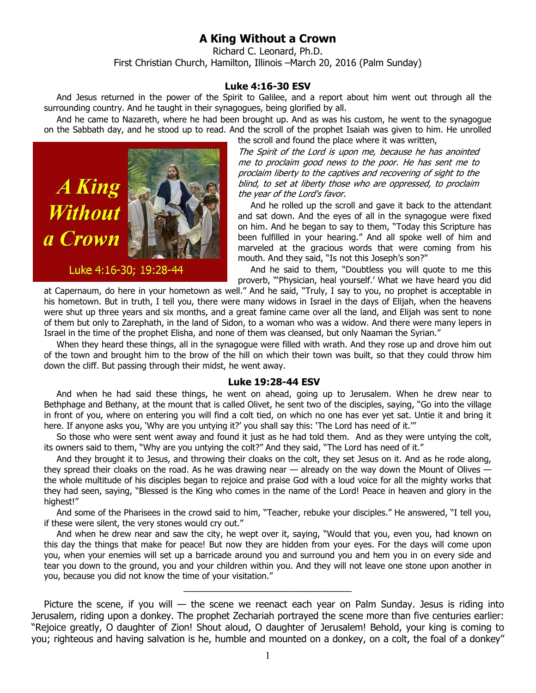## **A King Without a Crown**

Richard C. Leonard, Ph.D. First Christian Church, Hamilton, Illinois –March 20, 2016 (Palm Sunday)

## **Luke 4:16-30 ESV**

And Jesus returned in the power of the Spirit to Galilee, and a report about him went out through all the surrounding country. And he taught in their synagogues, being glorified by all.

And he came to Nazareth, where he had been brought up. And as was his custom, he went to the synagogue on the Sabbath day, and he stood up to read. And the scroll of the prophet Isaiah was given to him. He unrolled



Luke 4:16-30; 19:28-44

the scroll and found the place where it was written,

The Spirit of the Lord is upon me, because he has anointed me to proclaim good news to the poor. He has sent me to proclaim liberty to the captives and recovering of sight to the blind, to set at liberty those who are oppressed, to proclaim the year of the Lord's favor.

And he rolled up the scroll and gave it back to the attendant and sat down. And the eyes of all in the synagogue were fixed on him. And he began to say to them, "Today this Scripture has been fulfilled in your hearing." And all spoke well of him and marveled at the gracious words that were coming from his mouth. And they said, "Is not this Joseph's son?"

And he said to them, "Doubtless you will quote to me this proverb, "'Physician, heal yourself.' What we have heard you did

at Capernaum, do here in your hometown as well." And he said, "Truly, I say to you, no prophet is acceptable in his hometown. But in truth, I tell you, there were many widows in Israel in the days of Elijah, when the heavens were shut up three years and six months, and a great famine came over all the land, and Elijah was sent to none of them but only to Zarephath, in the land of Sidon, to a woman who was a widow. And there were many lepers in Israel in the time of the prophet Elisha, and none of them was cleansed, but only Naaman the Syrian."

When they heard these things, all in the synagogue were filled with wrath. And they rose up and drove him out of the town and brought him to the brow of the hill on which their town was built, so that they could throw him down the cliff. But passing through their midst, he went away.

## **Luke 19:28-44 ESV**

And when he had said these things, he went on ahead, going up to Jerusalem. When he drew near to Bethphage and Bethany, at the mount that is called Olivet, he sent two of the disciples, saying, "Go into the village in front of you, where on entering you will find a colt tied, on which no one has ever yet sat. Untie it and bring it here. If anyone asks you, 'Why are you untying it?' you shall say this: 'The Lord has need of it.'"

So those who were sent went away and found it just as he had told them. And as they were untying the colt, its owners said to them, "Why are you untying the colt?" And they said, "The Lord has need of it."

And they brought it to Jesus, and throwing their cloaks on the colt, they set Jesus on it. And as he rode along, they spread their cloaks on the road. As he was drawing near — already on the way down the Mount of Olives the whole multitude of his disciples began to rejoice and praise God with a loud voice for all the mighty works that they had seen, saying, "Blessed is the King who comes in the name of the Lord! Peace in heaven and glory in the highest!"

And some of the Pharisees in the crowd said to him, "Teacher, rebuke your disciples." He answered, "I tell you, if these were silent, the very stones would cry out."

And when he drew near and saw the city, he wept over it, saying, "Would that you, even you, had known on this day the things that make for peace! But now they are hidden from your eyes. For the days will come upon you, when your enemies will set up a barricade around you and surround you and hem you in on every side and tear you down to the ground, you and your children within you. And they will not leave one stone upon another in you, because you did not know the time of your visitation."

\_\_\_\_\_\_\_\_\_\_\_\_\_\_\_\_\_\_\_\_\_\_\_\_\_\_\_\_\_\_\_\_

Picture the scene, if you will — the scene we reenact each year on Palm Sunday. Jesus is riding into Jerusalem, riding upon a donkey. The prophet Zechariah portrayed the scene more than five centuries earlier: "Rejoice greatly, O daughter of Zion! Shout aloud, O daughter of Jerusalem! Behold, your king is coming to you; righteous and having salvation is he, humble and mounted on a donkey, on a colt, the foal of a donkey"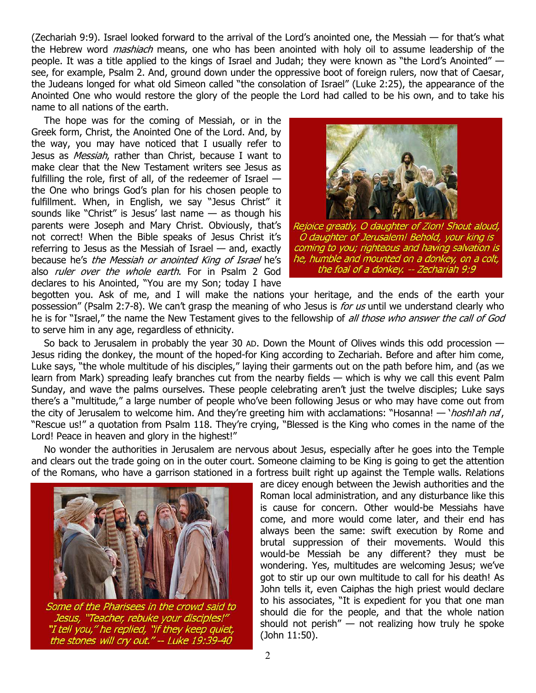(Zechariah 9:9). Israel looked forward to the arrival of the Lord's anointed one, the Messiah — for that's what the Hebrew word *mashiach* means, one who has been anointed with holy oil to assume leadership of the people. It was a title applied to the kings of Israel and Judah; they were known as "the Lord's Anointed" see, for example, Psalm 2. And, ground down under the oppressive boot of foreign rulers, now that of Caesar, the Judeans longed for what old Simeon called "the consolation of Israel" (Luke 2:25), the appearance of the Anointed One who would restore the glory of the people the Lord had called to be his own, and to take his name to all nations of the earth.

The hope was for the coming of Messiah, or in the Greek form, Christ, the Anointed One of the Lord. And, by the way, you may have noticed that I usually refer to Jesus as *Messiah*, rather than Christ, because I want to make clear that the New Testament writers see Jesus as fulfilling the role, first of all, of the redeemer of Israel the One who brings God's plan for his chosen people to fulfillment. When, in English, we say "Jesus Christ" it sounds like "Christ" is Jesus' last name — as though his parents were Joseph and Mary Christ. Obviously, that's not correct! When the Bible speaks of Jesus Christ it's referring to Jesus as the Messiah of Israel — and, exactly because he's the Messiah or anointed King of Israel he's also *ruler over the whole earth*. For in Psalm 2 God declares to his Anointed, "You are my Son; today I have



Rejoice greatly, O daughter of Zion! Shout aloud, O daughter of Jerusalem! Behold, your king is coming to you; righteous and having salvation is he, humble and mounted on a donkey, on a colt, the foal of a donkey. -- Zechariah 9:9

begotten you. Ask of me, and I will make the nations your heritage, and the ends of the earth your possession" (Psalm 2:7-8). We can't grasp the meaning of who Jesus is *for us* until we understand clearly who he is for "Israel," the name the New Testament gives to the fellowship of all those who answer the call of God to serve him in any age, regardless of ethnicity.

So back to Jerusalem in probably the year 30 AD. Down the Mount of Olives winds this odd procession — Jesus riding the donkey, the mount of the hoped-for King according to Zechariah. Before and after him come, Luke says, "the whole multitude of his disciples," laying their garments out on the path before him, and (as we learn from Mark) spreading leafy branches cut from the nearby fields — which is why we call this event Palm Sunday, and wave the palms ourselves. These people celebrating aren't just the twelve disciples; Luke says there's a "multitude," a large number of people who've been following Jesus or who may have come out from the city of Jerusalem to welcome him. And they're greeting him with acclamations: "Hosanna! — '*hoshì ah na'*, "Rescue us!" a quotation from Psalm 118. They're crying, "Blessed is the King who comes in the name of the Lord! Peace in heaven and glory in the highest!"

No wonder the authorities in Jerusalem are nervous about Jesus, especially after he goes into the Temple and clears out the trade going on in the outer court. Someone claiming to be King is going to get the attention of the Romans, who have a garrison stationed in a fortress built right up against the Temple walls. Relations



Some of the Pharisees in the crowd said to Jesus, "Teacher, rebuke your disciples!" "I tell you," he replied, "if they keep quiet, the stones will cry out." -- Luke 19:39-40

are dicey enough between the Jewish authorities and the Roman local administration, and any disturbance like this is cause for concern. Other would-be Messiahs have come, and more would come later, and their end has always been the same: swift execution by Rome and brutal suppression of their movements. Would this would-be Messiah be any different? they must be wondering. Yes, multitudes are welcoming Jesus; we've got to stir up our own multitude to call for his death! As John tells it, even Caiphas the high priest would declare to his associates, "It is expedient for you that one man should die for the people, and that the whole nation should not perish" — not realizing how truly he spoke (John 11:50).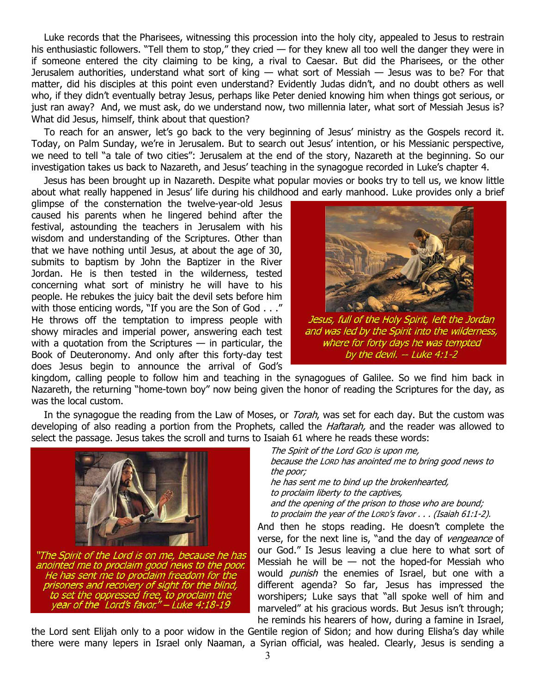Luke records that the Pharisees, witnessing this procession into the holy city, appealed to Jesus to restrain his enthusiastic followers. "Tell them to stop," they cried — for they knew all too well the danger they were in if someone entered the city claiming to be king, a rival to Caesar. But did the Pharisees, or the other Jerusalem authorities, understand what sort of king  $-$  what sort of Messiah  $-$  Jesus was to be? For that matter, did his disciples at this point even understand? Evidently Judas didn't, and no doubt others as well who, if they didn't eventually betray Jesus, perhaps like Peter denied knowing him when things got serious, or just ran away? And, we must ask, do we understand now, two millennia later, what sort of Messiah Jesus is? What did Jesus, himself, think about that question?

To reach for an answer, let's go back to the very beginning of Jesus' ministry as the Gospels record it. Today, on Palm Sunday, we're in Jerusalem. But to search out Jesus' intention, or his Messianic perspective, we need to tell "a tale of two cities": Jerusalem at the end of the story, Nazareth at the beginning. So our investigation takes us back to Nazareth, and Jesus' teaching in the synagogue recorded in Luke's chapter 4.

Jesus has been brought up in Nazareth. Despite what popular movies or books try to tell us, we know little about what really happened in Jesus' life during his childhood and early manhood. Luke provides only a brief

glimpse of the consternation the twelve-year-old Jesus caused his parents when he lingered behind after the festival, astounding the teachers in Jerusalem with his wisdom and understanding of the Scriptures. Other than that we have nothing until Jesus, at about the age of 30, submits to baptism by John the Baptizer in the River Jordan. He is then tested in the wilderness, tested concerning what sort of ministry he will have to his people. He rebukes the juicy bait the devil sets before him with those enticing words, "If you are the Son of God . . ." He throws off the temptation to impress people with showy miracles and imperial power, answering each test with a quotation from the Scriptures  $-$  in particular, the Book of Deuteronomy. And only after this forty-day test does Jesus begin to announce the arrival of God's



Jesus, full of the Holy Spirit, left the Jordan and was led by the Spirit into the wilderness, where for forty days he was tempted by the devil.  $-$  Luke 4:1-2

kingdom, calling people to follow him and teaching in the synagogues of Galilee. So we find him back in Nazareth, the returning "home-town boy" now being given the honor of reading the Scriptures for the day, as was the local custom.

In the synagogue the reading from the Law of Moses, or *Torah*, was set for each day. But the custom was developing of also reading a portion from the Prophets, called the *Haftarah*, and the reader was allowed to select the passage. Jesus takes the scroll and turns to Isaiah 61 where he reads these words:



"The Spirit of the Lord is on me, because he has anointed me to proclaim good news to the poor.<br>He has sent me to proclaim freedom for the prisoners and recovery of sight for the blind,<br>to set the oppressed free, to proclaim the<br>year of the Lord's favor." – Luke 4:18-19

The Spirit of the Lord GOD is upon me,

because the LORD has anointed me to bring good news to the poor;

he has sent me to bind up the brokenhearted, to proclaim liberty to the captives, and the opening of the prison to those who are bound;

to proclaim the year of the LORD's favor . . . (Isaiah 61:1-2).

And then he stops reading. He doesn't complete the verse, for the next line is, "and the day of vengeance of our God." Is Jesus leaving a clue here to what sort of Messiah he will be  $-$  not the hoped-for Messiah who would *punish* the enemies of Israel, but one with a different agenda? So far, Jesus has impressed the worshipers; Luke says that "all spoke well of him and marveled" at his gracious words. But Jesus isn't through; he reminds his hearers of how, during a famine in Israel,

the Lord sent Elijah only to a poor widow in the Gentile region of Sidon; and how during Elisha's day while there were many lepers in Israel only Naaman, a Syrian official, was healed. Clearly, Jesus is sending a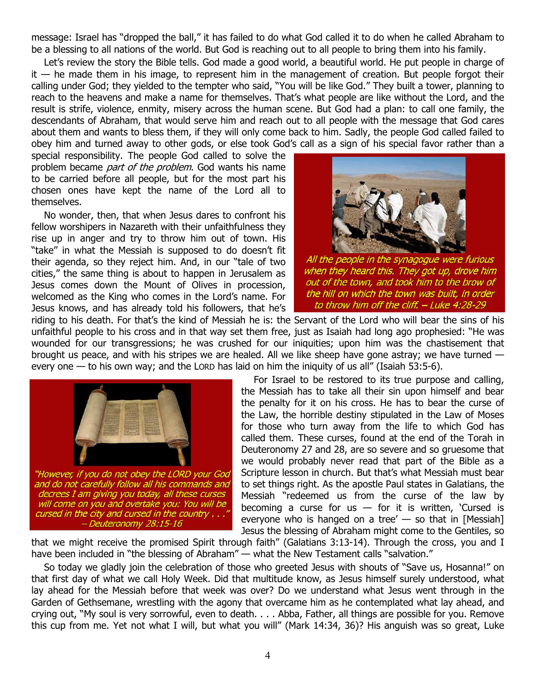message: Israel has "dropped the ball," it has failed to do what God called it to do when he called Abraham to be a blessing to all nations of the world. But God is reaching out to all people to bring them into his family.

Let's review the story the Bible tells. God made a good world, a beautiful world. He put people in charge of it — he made them in his image, to represent him in the management of creation. But people forgot their calling under God; they yielded to the tempter who said, "You will be like God." They built a tower, planning to reach to the heavens and make a name for themselves. That's what people are like without the Lord, and the result is strife, violence, enmity, misery across the human scene. But God had a plan: to call one family, the descendants of Abraham, that would serve him and reach out to all people with the message that God cares about them and wants to bless them, if they will only come back to him. Sadly, the people God called failed to obey him and turned away to other gods, or else took God's call as a sign of his special favor rather than a

special responsibility. The people God called to solve the problem became *part of the problem*. God wants his name to be carried before all people, but for the most part his chosen ones have kept the name of the Lord all to themselves.

No wonder, then, that when Jesus dares to confront his fellow worshipers in Nazareth with their unfaithfulness they rise up in anger and try to throw him out of town. His "take" in what the Messiah is supposed to do doesn't fit their agenda, so they reject him. And, in our "tale of two cities," the same thing is about to happen in Jerusalem as Jesus comes down the Mount of Olives in procession, welcomed as the King who comes in the Lord's name. For Jesus knows, and has already told his followers, that he's



All the people in the synagogue were furious when they heard this. They got up, drove him out of the town, and took him to the brow of the hill on which the town was built, in order to throw him off the cliff. - Luke 4:28-29

riding to his death. For that's the kind of Messiah he is: the Servant of the Lord who will bear the sins of his unfaithful people to his cross and in that way set them free, just as Isaiah had long ago prophesied: "He was wounded for our transgressions; he was crushed for our iniquities; upon him was the chastisement that brought us peace, and with his stripes we are healed. All we like sheep have gone astray; we have turned every one — to his own way; and the LORD has laid on him the iniquity of us all" (Isaiah 53:5-6).



and do not carefully follow all his commands and decrees I am giving you today, all these curses<br>will come on you and overtake you: You will be cursed in the city and cursed in the country  $\ldots$ - Deuteronomy 28:15-16

For Israel to be restored to its true purpose and calling, the Messiah has to take all their sin upon himself and bear the penalty for it on his cross. He has to bear the curse of the Law, the horrible destiny stipulated in the Law of Moses for those who turn away from the life to which God has called them. These curses, found at the end of the Torah in Deuteronomy 27 and 28, are so severe and so gruesome that we would probably never read that part of the Bible as a Scripture lesson in church. But that's what Messiah must bear to set things right. As the apostle Paul states in Galatians, the Messiah "redeemed us from the curse of the law by becoming a curse for us  $-$  for it is written, 'Cursed is everyone who is hanged on a tree'  $-$  so that in [Messiah] Jesus the blessing of Abraham might come to the Gentiles, so

that we might receive the promised Spirit through faith" (Galatians 3:13-14). Through the cross, you and I have been included in "the blessing of Abraham" — what the New Testament calls "salvation."

So today we gladly join the celebration of those who greeted Jesus with shouts of "Save us, Hosanna!" on that first day of what we call Holy Week. Did that multitude know, as Jesus himself surely understood, what lay ahead for the Messiah before that week was over? Do we understand what Jesus went through in the Garden of Gethsemane, wrestling with the agony that overcame him as he contemplated what lay ahead, and crying out, "My soul is very sorrowful, even to death. . . . Abba, Father, all things are possible for you. Remove this cup from me. Yet not what I will, but what you will" (Mark 14:34, 36)? His anguish was so great, Luke